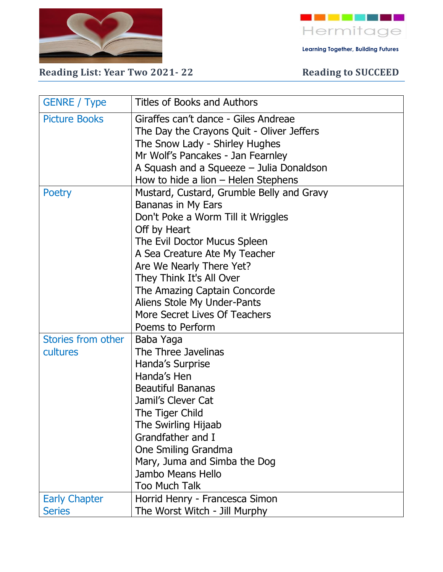

- - - - - - - **-**Hermitage

 **Learning Together, Building Futures**

Reading List: Year Two 2021-22 Reading to SUCCEED

| <b>GENRE / Type</b>                   | <b>Titles of Books and Authors</b>                                                                                                                                                                                                                                                                                                                                 |
|---------------------------------------|--------------------------------------------------------------------------------------------------------------------------------------------------------------------------------------------------------------------------------------------------------------------------------------------------------------------------------------------------------------------|
| <b>Picture Books</b>                  | Giraffes can't dance - Giles Andreae<br>The Day the Crayons Quit - Oliver Jeffers<br>The Snow Lady - Shirley Hughes<br>Mr Wolf's Pancakes - Jan Fearnley<br>A Squash and a Squeeze – Julia Donaldson<br>How to hide a lion – Helen Stephens                                                                                                                        |
| Poetry                                | Mustard, Custard, Grumble Belly and Gravy<br>Bananas in My Ears<br>Don't Poke a Worm Till it Wriggles<br>Off by Heart<br>The Evil Doctor Mucus Spleen<br>A Sea Creature Ate My Teacher<br>Are We Nearly There Yet?<br>They Think It's All Over<br>The Amazing Captain Concorde<br>Aliens Stole My Under-Pants<br>More Secret Lives Of Teachers<br>Poems to Perform |
| Stories from other<br>cultures        | Baba Yaga<br>The Three Javelinas<br>Handa's Surprise<br>Handa's Hen<br><b>Beautiful Bananas</b><br>Jamil's Clever Cat<br>The Tiger Child<br>The Swirling Hijaab<br>Grandfather and I<br>One Smiling Grandma<br>Mary, Juma and Simba the Dog<br>Jambo Means Hello<br><b>Too Much Talk</b>                                                                           |
| <b>Early Chapter</b><br><b>Series</b> | Horrid Henry - Francesca Simon<br>The Worst Witch - Jill Murphy                                                                                                                                                                                                                                                                                                    |